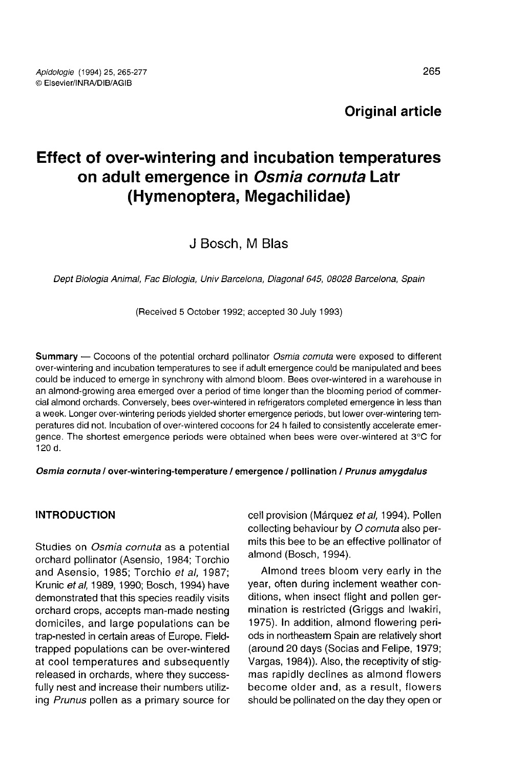Original article

# Effect of over-wintering and incubation temperatures on adult emergence in Osmia cornuta Latr (Hymenoptera, Megachilidae)

# J Bosch M Blas

Dept Biologia Animal, Fac Biologia, Univ Barcelona, Diagonal 645, 08028 Barcelona, Spain

(Received 5 October 1992; accepted 30 July 1993)

**Summary** — Cocoons of the potential orchard pollinator *Osmia cornuta* were exposed to different over-wintering and incubation temperatures to see if adult emergence could be manipulated and bees could be induced to emerge in synchrony with almond bloom. Bees over-wintered in a warehouse in an almond-growing area emerged over a period of time longer than the blooming period of commercial almond orchards. Conversely, bees over-wintered in refrigerators completed emergence in less than a week. Longer over-wintering periods yielded shorter emergence periods, but lower over-wintering temperatures did not. Incubation of over-wintered cocoons for 24 h failed to consistently accelerate emergence. The shortest emergence periods were obtained when bees were over-wintered at 3°C for 120 d.

#### Osmia cornuta / over-wintering-temperature / emergence / pollination / Prunus amygdalus

#### INTRODUCTION

Studies on Osmia cornuta as a potential orchard pollinator (Asensio, 1984; Torchio and Asensio, 1985; Torchio et al, 1987; Krunic et al, 1989, 1990; Bosch, 1994) have demonstrated that this species readily visits orchard crops, accepts man-made nesting domiciles, and large populations can be trap-nested in certain areas of Europe. Fieldtrapped populations can be over-wintered at cool temperatures and subsequently released in orchards, where they successfully nest and increase their numbers utilizing Prunus pollen as a primary source for cell provision (Márquez et al, 1994). Pollen collecting behaviour by O cornuta also permits this bee to be an effective pollinator of almond (Bosch, 1994).

Almond trees bloom very early in the year, often during inclement weather conditions, when insect flight and pollen germination is restricted (Griggs and lwakiri, 1975). In addition, almond flowering periods in northeastern Spain are relatively short (around 20 days (Socias and Felipe, 1979; Vargas, 1984)). Also, the receptivity of stig mas rapidly declines as almond flowers become older and, as a result, flowers should be pollinated on the day they open or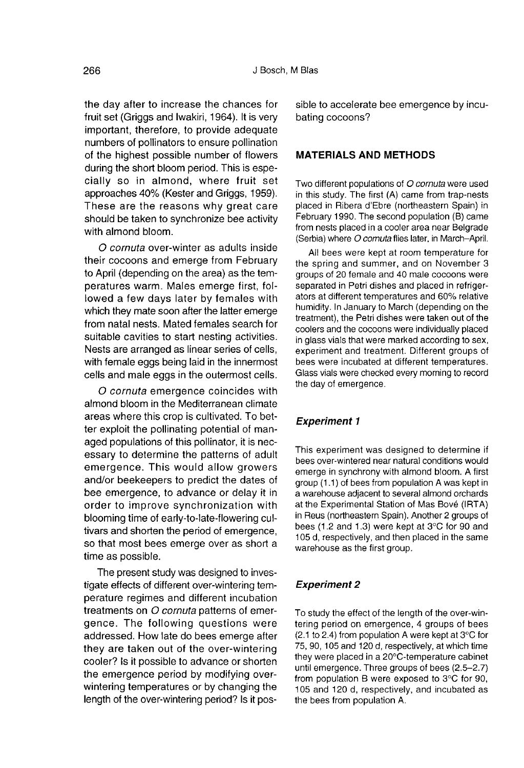the day after to increase the chances for fruit set (Griggs and Iwakiri, 1964). It is very important, therefore, to provide adequate numbers of pollinators to ensure pollination of the highest possible number of flowers during the short bloom period. This is especially so in almond, where fruit set approaches 40% (Kester and Griggs, 1959). These are the reasons why great care should be taken to synchronize bee activity with almond bloom.

O cornuta over-winter as adults inside their cocoons and emerge from February to April (depending on the area) as the temperatures warm. Males emerge first, followed a few days later by females with which they mate soon after the latter emerge from natal nests. Mated females search for suitable cavities to start nesting activities. Nests are arranged as linear series of cells, with female eggs being laid in the innermost cells and male eggs in the outermost cells.

O cornuta emergence coincides with almond bloom in the Mediterranean climate areas where this crop is cultivated. To better exploit the pollinating potential of managed populations of this pollinator, it is necessary to determine the patterns of adult emergence. This would allow growers and/or beekeepers to predict the dates of bee emergence, to advance or delay it in order to improve synchronization with blooming time of early-to-late-flowering cultivars and shorten the period of emergence, so that most bees emerge over as short a time as possible.

The present study was designed to investigate effects of different over-wintering temperature regimes and different incubation treatments on O cornuta patterns of emergence. The following questions were addressed. How late do bees emerge after they are taken out of the over-wintering cooler? Is it possible to advance or shorten the emergence period by modifying overwintering temperatures or by changing the length of the over-wintering period? Is it possible to accelerate bee emergence by incubating cocoons?

#### MATERIALS AND METHODS

Two different populations of O cornuta were used in this study. The first (A) came from trap-nests placed in Ribera d'Ebre (northeastern Spain) in February 1990. The second population (B) came from nests placed in a cooler area near Belgrade (Serbia) where O comuta flies later, in March-April.

All bees were kept at room temperature for the spring and summer, and on November 3 groups of 20 female and 40 male cocoons were<br>separated in Petri dishes and placed in refrigerators at different temperatures and 60% relative humidity. In January to March (depending on the treatment), the Petri dishes were taken out of the coolers and the cocoons were individually placed in glass vials that were marked according to sex, experiment and treatment. Different groups of bees were incubated at different temperatures. Glass vials were checked every moming to record the day of emergence.

#### Experiment 1

This experiment was designed to determine if bees over-wintered near natural conditions would emerge in synchrony with almond bloom. A first group (1.1) of bees from population A was kept in a warehouse adjacent to several almond orchards at the Experimental Station of Mas Bové (IRTA) in Reus (northeastern Spain). Another 2 groups of bees (1.2 and 1.3) were kept at 3°C for 90 and 105 d, respectively, and then placed in the same warehouse as the first group.

#### Experiment 2

To study the effect of the length of the over-wintering period on emergence, 4 groups of bees (2.1 to 2.4) from population A were kept at 3°C for 75, 90, 105 and 120 d, respectively, at which time they were placed in a 20°C-temperature cabinet until emergence. Three groups of bees (2.5-2.7) from population B were exposed to 3°C for 90, 105 and 120 d, respectively, and incubated as the bees from population A.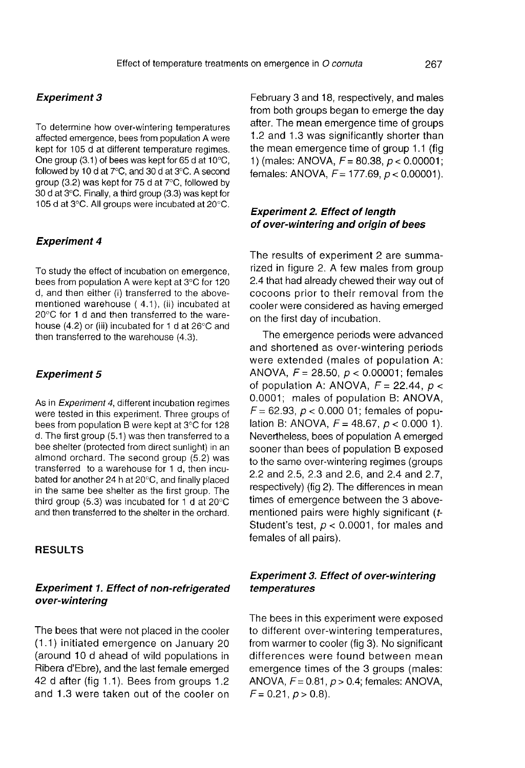#### Experiment 3

To determine how over-wintering temperatures affected emergence, bees from population A were kept for 105 d at different temperature regimes. One group (3.1) of bees was kept for 65 d at 10°C, followed by 10 d at 7°C, and 30 d at 3°C. A second group (3.2) was kept for 75 d at 7°C, followed by 30 d at 3°C. Finally, a third group (3.3) was kept for 105 d at 3°C. All groups were incubated at 20°C.

#### Experiment 4

To study the effect of incubation on emergence, bees from population A were kept at 3°C for 120 d, and then either (i) transferred to the abovementioned warehouse ( 4.1), (ii) incubated at 20°C for 1 d and then transferred to the warehouse (4.2) or (iii) incubated for 1 d at 26°C and then transferred to the warehouse (4.3).

#### Experiment 5

As in Experiment 4, different incubation regimes were tested in this experiment. Three groups of bees from population B were kept at 3°C for 128 d. The first group (5.1) was then transferred to a bee shelter (protected from direct sunlight) in an almond orchard. The second group (5.2) was transferred to a warehouse for 1 d, then incubated for another 24 h at 20°C, and finally placed in the same bee shelter as the first group. The third group (5.3) was incubated for 1 d at 20°C and then transferred to the shelter in the orchard.

#### RESULTS

#### Experiment 1. Effect of non-refrigerated over-wintering

The bees that were not placed in the cooler (1.1) initiated emergence on January 20 (around 10 d ahead of wild populations in Ribera d'Ebre), and the last female emerged 42 d after (fig 1.1). Bees from groups 1.2 and 1.3 were taken out of the cooler on February 3 and 18, respectively, and males from both groups began to emerge the day after. The mean emergence time of groups 1.2 and 1.3 was significantly shorter than the mean emergence time of group 1.1 (fig. 1) (males: ANOVA,  $F = 80.38$ ,  $p < 0.00001$ ; females: ANOVA,  $F = 177.69$ ,  $p < 0.00001$ ).

# Experiment 2. Effect of length of over-wintering and origin of bees

The results of experiment 2 are summarized in figure 2. A few males from group 2.4 that had already chewed their way out of cocoons prior to their removal from the cooler were considered as having emerged on the first day of incubation.

The emergence periods were advanced and shortened as over-wintering periods were extended (males of population A: ANOVA,  $F = 28.50$ ,  $p < 0.00001$ ; females of population A: ANOVA,  $F = 22.44$ ,  $p <$ 0.0001; males of population B: ANOVA,  $F = 62.93$ ,  $p < 0.000$  01; females of population B: ANOVA,  $F = 48.67$ ,  $p < 0.000$  1). Nevertheless, bees of population A emerged sooner than bees of population B exposed to the same over-wintering regimes (groups 2.2 and 2.5, 2.3 and 2.6, and 2.4 and 2.7, respectively) (fig 2). The differences in mean times of emergence between the 3 abovementioned pairs were highly significant (t-Student's test,  $p < 0.0001$ , for males and females of all pairs).

## Experiment 3. Effect of over-wintering temperatures

The bees in this experiment were exposed to different over-wintering temperatures, from warmer to cooler (fig 3). No significant differences were found between mean emergence times of the 3 groups (males: ANOVA,  $F = 0.81$ ,  $p > 0.4$ ; females: ANOVA,  $F = 0.21, p > 0.8$ .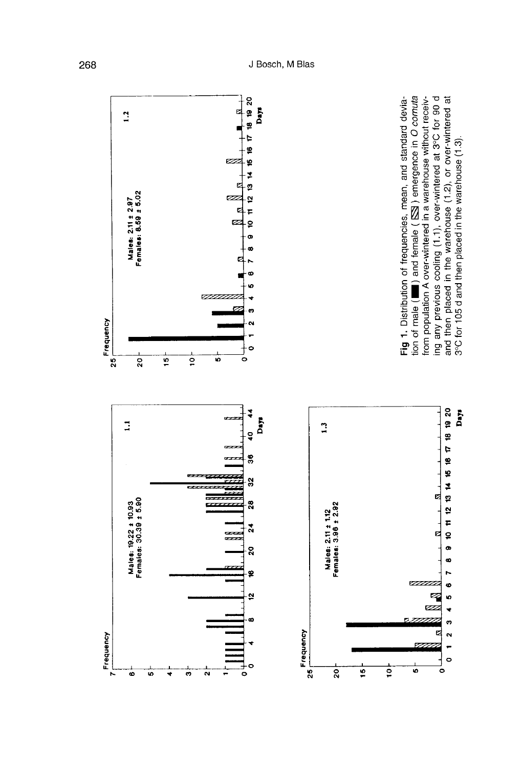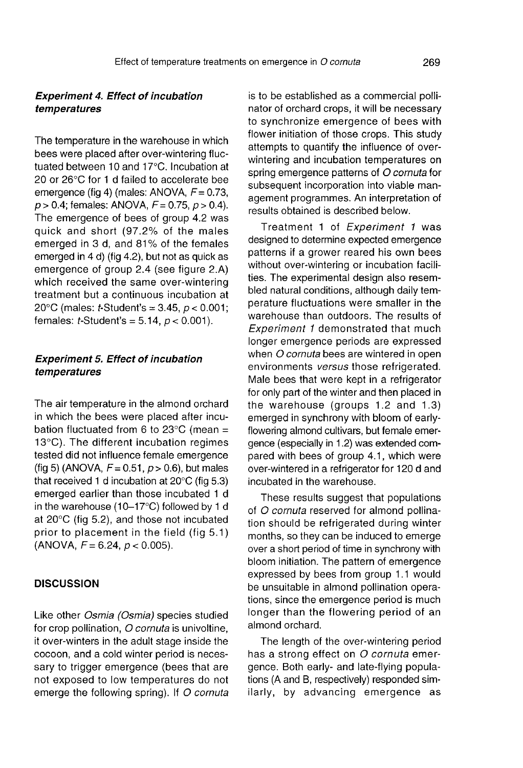# Experiment 4. Effect of incubation temperatures

The temperature in the warehouse in which bees were placed after over-wintering fluctuated between 10 and 17°C. Incubation at 20 or 26°C for 1 d failed to accelerate bee emergence (fig 4) (males: ANOVA,  $F = 0.73$ ,  $p > 0.4$ ; females: ANOVA,  $F = 0.75$ ,  $p > 0.4$ ). The emergence of bees of group 4.2 was quick and short (97.2% of the males emerged in 3 d, and 81% of the females emerged in 4 d) (fig 4.2), but not as quick as emergence of group 2.4 (see figure 2.A) which received the same over-wintering treatment but a continuous incubation at 20 $^{\circ}$ C (males: *t*-Student's = 3.45,  $p < 0.001$ ; females:  $t$ -Student's = 5.14,  $p < 0.001$ ).

# Experiment 5. Effect of incubation temperatures

The air temperature in the almond orchard in which the bees were placed after incubation fluctuated from 6 to  $23^{\circ}$ C (mean = 13°C). The different incubation regimes tested did not influence female emergence (fig 5) (ANOVA,  $F = 0.51$ ,  $p > 0.6$ ), but males that received 1 d incubation at 20°C (fig 5.3) emerged earlier than those incubated 1 d in the warehouse (10-17°C) followed by 1 d at 20°C (fig 5.2), and those not incubated prior to placement in the field (fig 5.1)  $(ANOVA, F = 6.24, p < 0.005)$ .

#### **DISCUSSION**

Like other Osmia (Osmia) species studied for crop pollination, O cornuta is univoltine, it over-winters in the adult stage inside the cocoon, and a cold winter period is necessary to trigger emergence (bees that are not exposed to low temperatures do not emerge the following spring). If O cornuta is to be established as a commercial polli nator of orchard crops, it will be necessary to synchronize emergence of bees with flower initiation of those crops. This study attempts to quantify the influence of overwintering and incubation temperatures on spring emergence patterns of O cornuta for subsequent incorporation into viable management programmes. An interpretation of results obtained is described below.

Treatment 1 of Experiment 1 was designed to determine expected emergence patterns if a grower reared his own bees without over-wintering or incubation facilities. The experimental design also resembled natural conditions, although daily temperature fluctuations were smaller in the warehouse than outdoors. The results of Experiment 1 demonstrated that much longer emergence periods are expressed when O cornuta bees are wintered in open environments versus those refrigerated. Male bees that were kept in a refrigerator for only part of the winter and then placed in the warehouse (groups 1.2 and 1.3) emerged in synchrony with bloom of earlyflowering almond cultivars, but female emergence (especially in 1.2) was extended compared with bees of group 4.1, which were over-wintered in a refrigerator for 120 d and incubated in the warehouse.

These results suggest that populations of O cornuta reserved for almond pollination should be refrigerated during winter months, so they can be induced to emerge over a short period of time in synchrony with bloom initiation. The pattern of emergence expressed by bees from group 1.1 would be unsuitable in almond pollination operations, since the emergence period is much longer than the flowering period of an almond orchard.

The length of the over-wintering period has a strong effect on O cornuta emergence. Both early- and late-flying populations (A and B, respectively) responded similarly, by advancing emergence as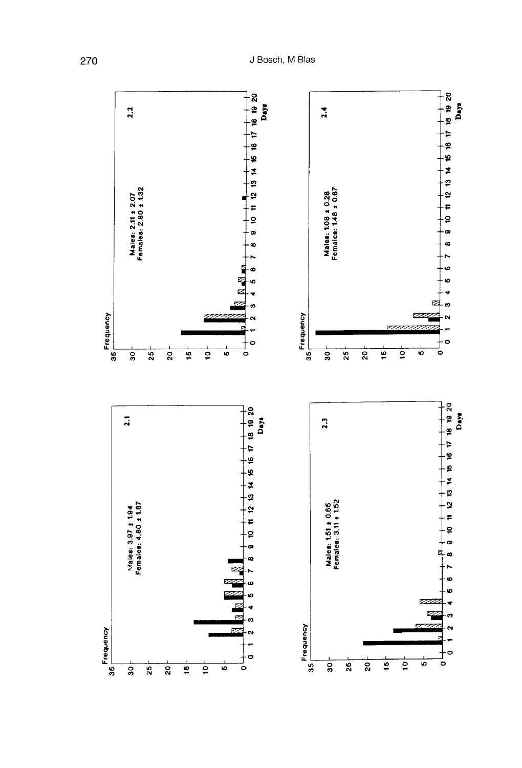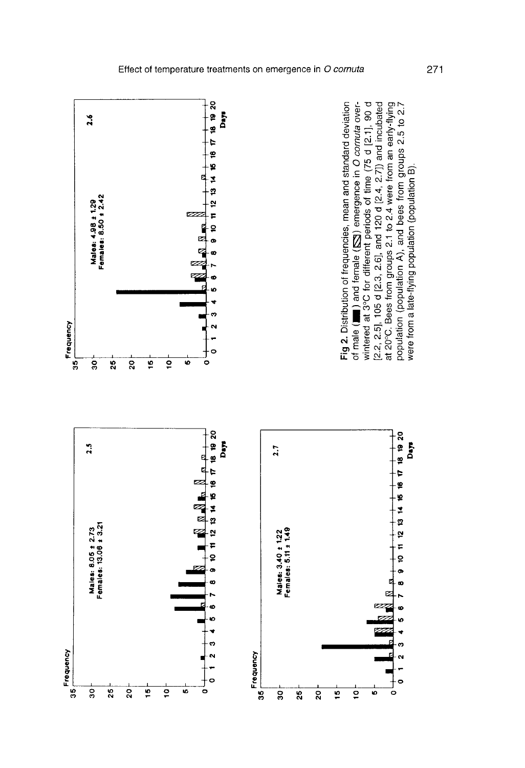

271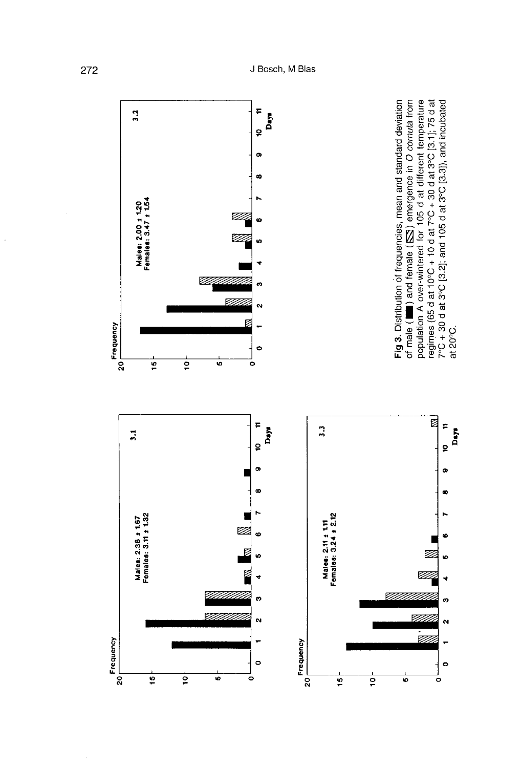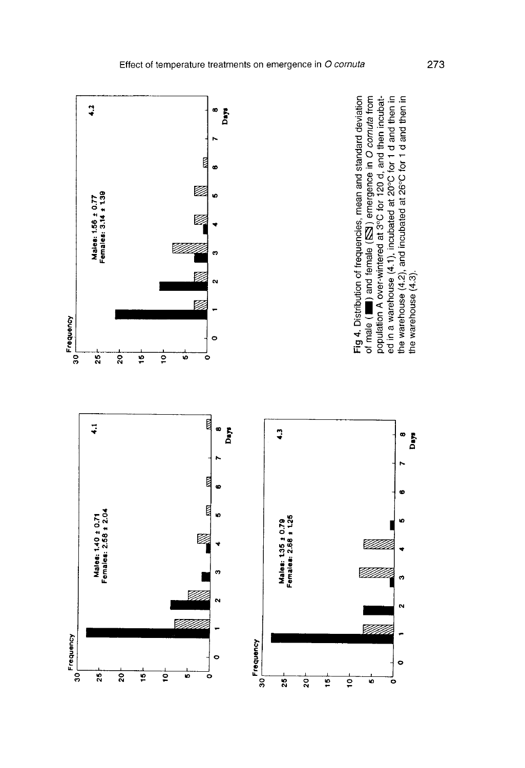

273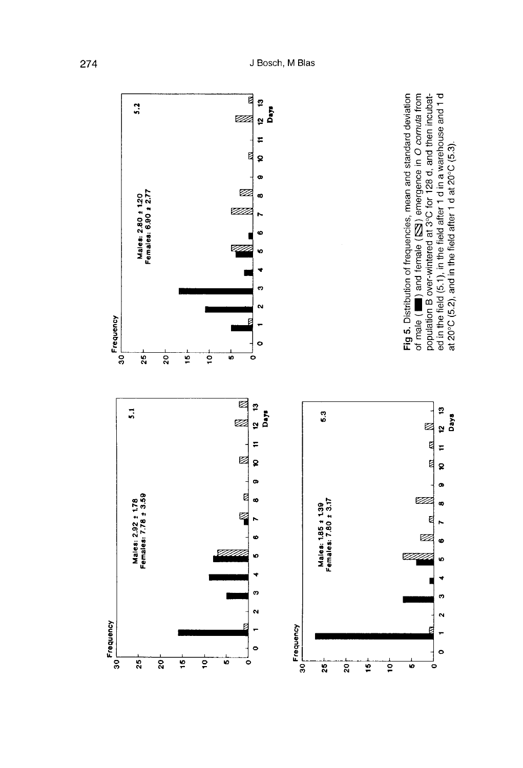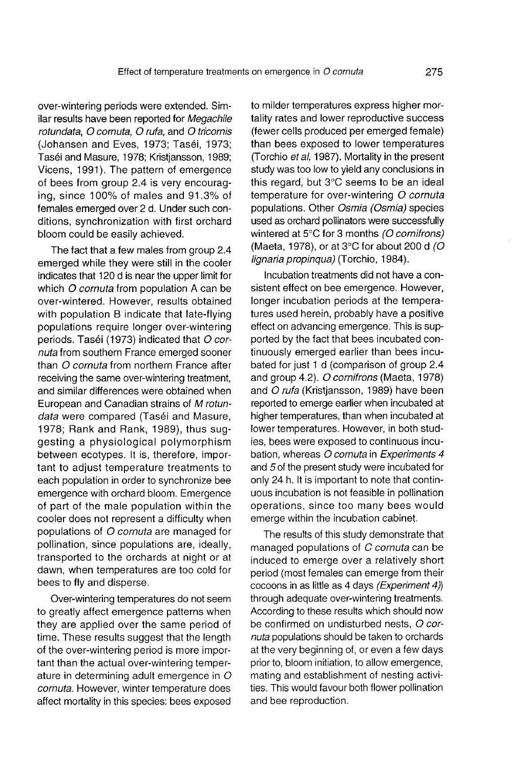over-wintering periods were extended. Similar results have been reported for Megachile rotundata, O cornuta, O rufa, and O tricornis (Johansen and Eves, 1973; Taséi, 1973; Taséi and Masure, 1978; Kristjansson, 1989; Vicens, 1991). The pattern of emergence of bees from group 2.4 is very encouraging, since 100% of males and 91.3% of females emerged over 2 d. Under such conditions, synchronization with first orchard bloom could be easily achieved.

The fact that a few males from group 2.4 emerged while they were still in the cooler indicates that 120 d is near the upper limit for which O cornuta from population A can be over-wintered. However, results obtained with population B indicate that late-flying populations require longer over-wintering periods. Taséi (1973) indicated that O cornuta from southern France emerged sooner than O cornuta from northern France after receiving the same over-wintering treatment, and similar differences were obtained when European and Canadian strains of M rotundata were compared (Taséi and Masure, 1978; Rank and Rank, 1989), thus suggesting a physiological polymorphism between ecotypes. It is, therefore, important to adjust temperature treatments to each population in order to synchronize bee emergence with orchard bloom. Emergence of part of the male population within the cooler does not represent a difficulty when populations of O cornuta are managed for pollination, since populations are, ideally, transported to the orchards at night or at dawn, when temperatures are too cold for bees to fly and disperse.

Over-wintering temperatures do not seem to greatly affect emergence patterns when they are applied over the same period of time. These results suggest that the length of the over-wintering period is more impor-<br>tant than the actual over-wintering temperature in determining adult emergence in  $O$ cornuta. However, winter temperature does affect mortality in this species: bees exposed to milder temperatures express higher mortality rates and lower reproductive success (fewer cells produced per emerged female) than bees exposed to lower temperatures (Torchio et al, 1987). Mortality in the present study was too low to yield any conclusions in this regard, but 3°C seems to be an ideal temperature for over-wintering O cornuta populations. Other Osmia (Osmia) species used as orchard pollinators were successfully wintered at 5°C for 3 months (O cornifrons) (Maeta, 1978), or at  $3^{\circ}$ C for about 200 d (O lignaria propinqua) (Torchio, 1984).

Incubation treatments did not have a consistent effect on bee emergence. However, longer incubation periods at the tempera tures used herein, probably have a positive effect on advancing emergence. This is supported by the fact that bees incubated continuously emerged earlier than bees incubated for just 1 d (comparison of group 2.4 and group 4.2). O cornifrons (Maeta, 1978) and O rufa (Kristiansson, 1989) have been reported to emerge earlier when incubated at higher temperatures, than when incubated at lower temperatures. However, in both studies, bees were exposed to continuous incubation, whereas O cornuta in Experiments 4 and 5 of the present study were incubated for only 24 h. It is important to note that continuous incubation is not feasible in pollination operations, since too many bees would emerge within the incubation cabinet.

The results of this study demonstrate that managed populations of C cornuta can be induced to emerge over a relatively short period (most females can emerge from their cocoons in as little as 4 days (Experiment 4)) through adequate over-wintering treatments. According to these results which should now be confirmed on undisturbed nests, O cornuta populations should be taken to orchards at the very beginning of, or even a few days prior to, bloom initiation, to allow emergence, mating and establishment of nesting activities. This would favour both flower pollination and bee reproduction.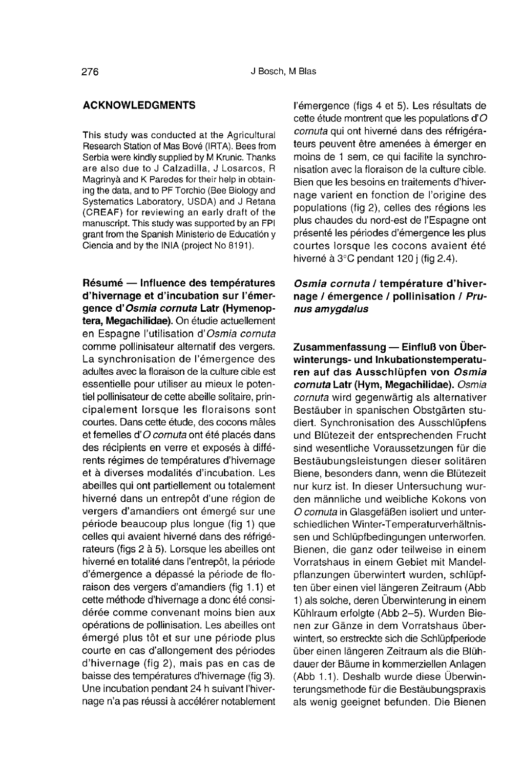#### ACKNOWLEDGMENTS

This study was conducted at the Agricultural Research Station of Mas Bové (IRTA). Bees from Serbia were kindly supplied by M Krunic. Thanks are also due to J Calzadilla, J Losarcos, R Magrinyà and K Paredes for their help in obtaining the data, and to PF Torchio (Bee Biology and Systematics Laboratory, USDA) and J Retana (CREAF) for reviewing an early draft of the manuscript. This study was supported by an FPI grant from the Spanish Ministerio de Educatión y Ciencia and by the INIA (project No 8191).

Résumé — Influence des températures d'hivernage et d'incubation sur l'émergence d'Osmia cornuta Latr (Hymenoptera, Megachilidae). On étudie actuellement en Espagne l'utilisation d'Osmia cornuta comme pollinisateur alternatif des vergers. La synchronisation de l'émergence des adultes avec la floraison de la culture cible est essentielle pour utiliser au mieux le potentiel pollinisateur de cette abeille solitaire, principalement lorsque les floraisons sont courtes. Dans cette étude, des cocons mâles et femelles d'O cornuta ont été placés dans des récipients en verre et exposés à différents régimes de températures d'hivernage et à diverses modalités d'incubation. Les abeilles qui ont partiellement ou totalement hiverné dans un entrepôt d'une région de vergers d'amandiers ont émergé sur une période beaucoup plus longue (fig 1) que celles qui avaient hiverné dans des réfrigé rateurs (figs 2 à 5). Lorsque les abeilles ont hiverné en totalité dans l'entrepôt, la période d'émergence a dépassé la période de floraison des vergers d'amandiers (fig 1.1) et cette méthode d'hivernage a donc été considérée comme convenant moins bien aux opérations de pollinisation. Les abeilles ont émergé plus tôt et sur une période plus courte en cas d'allongement des périodes d'hivernage (fig 2), mais pas en cas de baisse des températures d'hivernage (fig 3). Une incubation pendant 24 h suivant l'hivernage n'a pas réussi à accélérer notablement l'émergence (figs 4 et 5). Les résultats de cette étude montrent que les populations d' $O$ cornuta qui ont hiverné dans des réfrigérateurs peuvent être amenées à émerger en moins de 1 sem, ce qui facilite la synchronisation avec la floraison de la culture cible. Bien que les besoins en traitements d'hivernage varient en fonction de l'origine des populations (fig 2), celles des régions les plus chaudes du nord-est de l'Espagne ont présenté les périodes d'émergence les plus courtes lorsque les cocons avaient été hiverné à 3°C pendant 120 j (fig 2.4).

# Osmia cornuta / température d'hivernage / émergence / pollinisation / Prunus amygdalus

Zusammenfassung - Einfluß von Über-<br>winterungs- und Inkubationstemperaturen auf das Ausschlüpfen von Osmia cornuta Latr (Hym, Megachilidae). Osmia cornuta wird gegenwärtig als alternativer Bestäuber in spanischen Obstgärten studiert. Synchronisation des Ausschlüpfens und Blütezeit der entsprechenden Frucht sind wesentliche Voraussetzungen für die Bestäubungsleistungen dieser solitären Biene, besonders dann, wenn die Blütezeit nur kurz ist. In dieser Untersuchung wurden männliche und weibliche Kokons von O comuta in Glasgefäßen isoliert und unterschiedlichen Winter-Temperaturverhältnis sen und Schlüpfbedingungen unterworfen. Bienen, die ganz oder teilweise in einem Vorratshaus in einem Gebiet mit Mandelpflanzungen überwintert wurden, schlüpf ten über einen viel längeren Zeitraum (Abb 1) als solche, deren Überwinterung in einem Kühlraum erfolgte (Abb 2-5). Wurden Bienen zur Gänze in dem Vorratshaus überwintert, so erstreckte sich die Schlüpfperiode über einen längeren Zeitraum als die Blühdauer der Bäume in kommerziellen Anlagen (Abb 1.1). Deshalb wurde diese Überwinterungsmethode für die Bestäubungspraxis als wenig geeignet befunden. Die Bienen